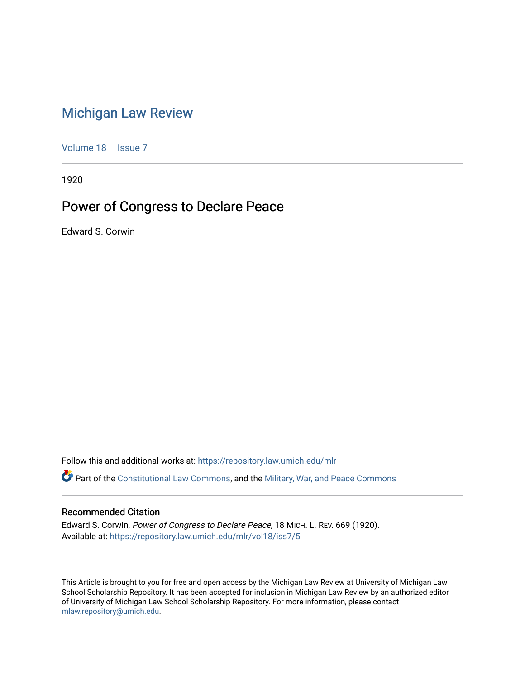## [Michigan Law Review](https://repository.law.umich.edu/mlr)

[Volume 18](https://repository.law.umich.edu/mlr/vol18) | [Issue 7](https://repository.law.umich.edu/mlr/vol18/iss7)

1920

## Power of Congress to Declare Peace

Edward S. Corwin

Follow this and additional works at: [https://repository.law.umich.edu/mlr](https://repository.law.umich.edu/mlr?utm_source=repository.law.umich.edu%2Fmlr%2Fvol18%2Fiss7%2F5&utm_medium=PDF&utm_campaign=PDFCoverPages) 

Part of the [Constitutional Law Commons,](http://network.bepress.com/hgg/discipline/589?utm_source=repository.law.umich.edu%2Fmlr%2Fvol18%2Fiss7%2F5&utm_medium=PDF&utm_campaign=PDFCoverPages) and the [Military, War, and Peace Commons](http://network.bepress.com/hgg/discipline/861?utm_source=repository.law.umich.edu%2Fmlr%2Fvol18%2Fiss7%2F5&utm_medium=PDF&utm_campaign=PDFCoverPages)

## Recommended Citation

Edward S. Corwin, Power of Congress to Declare Peace, 18 MICH. L. REV. 669 (1920). Available at: [https://repository.law.umich.edu/mlr/vol18/iss7/5](https://repository.law.umich.edu/mlr/vol18/iss7/5?utm_source=repository.law.umich.edu%2Fmlr%2Fvol18%2Fiss7%2F5&utm_medium=PDF&utm_campaign=PDFCoverPages)

This Article is brought to you for free and open access by the Michigan Law Review at University of Michigan Law School Scholarship Repository. It has been accepted for inclusion in Michigan Law Review by an authorized editor of University of Michigan Law School Scholarship Repository. For more information, please contact [mlaw.repository@umich.edu.](mailto:mlaw.repository@umich.edu)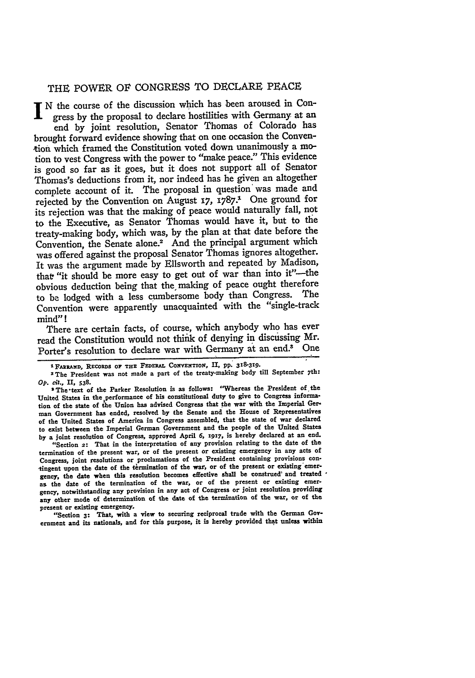## THE POWER OF **CONGRESS** TO DECLARE **PEACE**

I N the course of the discussion which has been aroused in Congress by the proposal to declare hostilities with Germany at an end by joint resolution, Senator Thomas of Colorado has brought forward evidence showing that on one occasion the Convention which framed the Constitution voted down unanimously a motion to vest Congress with the power to "make peace." This evidence is good so far as it goes, but it does not support all of Senator Thomas's deductions from it, nor indeed has he given an altogether complete account of it. The proposal in question was made and rejected by the Convention on August 17, 1787.<sup>1</sup> One ground for its rejection was that the making of peace would naturally fall, not to the Executive, as Senator Thomas would have it, but to the treaty-making body, which was, by the plan at that date before the Convention, the Senate alone.2 And the principal argument which was offered against the proposal Senator Thomas ignores altogether. It was the argument made by Ellsworth and repeated by Madison, that "it should be more easy to get out of war than into it"--the obvious deduction being that the, making of peace ought therefore to be lodged with a less cumbersome body than Congress. Convention were apparently unacquainted with the "single-track mind" !

There are certain facts, of course, which anybody who has ever read the Constitution would not think of denying in discussing Mr. Porter's resolution to declare war with Germany at an end.<sup>8</sup> One

"Section *2:* That in the interpretation of any provision relating to the date of the termination of the present war, or of the present or existing emergency in any acts of Congress, joint resolutions or proclamations of the President containing provisions con tingent upon the date of the termination of the war, or of the present or existing emergency, the date when this resolution becomes effective **shall** be construed' and treated as the date of the termination of the war, or of the present or existing emergency, notwithstanding any provision in any act of Congress or joint resolution providing any other mode of determination of the date **of** the termination of the war, or of the present or existing emergency.

"Section **3:** That, with a view to securing reciprocal trade with the German Government and its nationals, and for this purpose, it is hereby provided that unless within

**<sup>1</sup>pAtRAD,** RECORMs **OF THE FEDERAL CONVENTIOr,** II, **Pp. 318-319.**

**<sup>2</sup> The** President was not made a part of the treaty-making body till September 7th: *Op. cit.,* II, **538.**

**<sup>\*</sup>The-text** of the Parker Resolution is as follows: "Whereas the President of the United States in the performance of his constitutional duty to give to Congress information of the state of **the** Union has advised Congress that the war with the Imperial German Government has ended, resolved **by** the Senate and the House of Representatives of the United States of America in Congress assembled, that the state of war declared to exist between the Imperial German Government and the people of the United States **by** a joint resolution of Congress, approved April **6, 1917,** is hereby declared at an end.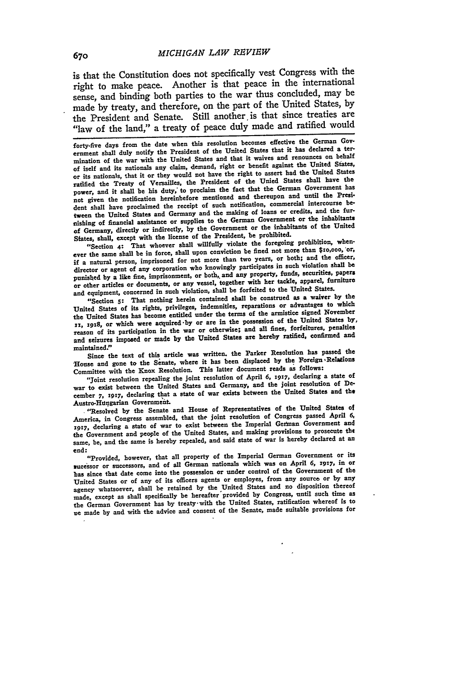is that the Constitution does not specifically vest Congress with the right to make peace. Another is that peace in the international sense, and binding both parties to the war thus concluded, may be made by treaty, and therefore, on the part of the United States, by the President and Senate. Still another is that since treaties are "law of the land," a treaty of peace duly made and ratified would

forty-five days from the date when this resolution becomes effective the German Government shall duly notify the President of the United States that it has declared a termination of the war with the United States and that it waives and renounces on behalf of iself and its nationals any claim, demand, right or benefit against the United States, or its nationals, that it or they would not have the right to assert bad the United States ratified the Treaty of Versailles, the President of the Unied States shall have the power, and it shall be his duty, to proclaim the fact that the German Government has **not** given the notification hereinbefore mentioned and thereupon and until the President shall have proclaimed the receipt of such notification, commercial intercourse between the United States and Germany and the making of loans or credits, and the furnishing of financial assistance or supplies to the German Government or the inhabitants of Germany, directly or indirectly, **by** the Government or the inhabitants of the United States, shall, except with the license of the President, be prohibited.

"Section 4: That whoever shall willfully violate the foregoing prohibition, whenever the same shall be in force, shall upon conviction be fined not more than **\$o,ooo,** or, if a natural person, imprisoned for not more than two years, or both; and the officer, director or agent of any corporation who knowingly participates in such violation shall be punished by a like fine, imprisonment, or both, and any property, funds, securities, papers or other articles or documents, or any vessel, together with her tackle, apparel, furniture and equipment, concerned in such violation, shall be forfeited to the United States.

"Section **5:** That nothing herein contained shall be construed as a waiver **by** the United States of its rights, privileges, indemnities, reparations or advantages to which the United States has become entitled under the terms of the armistice signed November **ii, zix8,** or which were acquired-by or are in the possession **of** the United States **by,** reason of its participation in the war or otherwise; and all fines, forfeitures, penalties and seizures imposed or made **by** the United States are hereby ratified, confirmed and maintained."

Since the text of this article was written, the Parker Resolution has passed the House and gone to the Senate, where it has been displaced by the Foreign Relations Committee with the Knox Resolution. This latter document reads as follows:

"Joint resolution repealing the joint resolution of April 6, 1917, declaring a state of war to exist between the United States and Germany, and the joint resolution of December **7, 1917,** declaring that a state of war exists between the United States and the Austro-Htlngarian Government.

**.** "Resolved **by** the Senate and House of Representatives of the United States **of** America, in Congress assembled, that the joint resolution of Congress passed April **6, 1917,** declaring a state of war to exist between the Imperial German Government and the Government and people of the United States, and making provisions to prosecute the same, be, and the same is hereby repealed, and said state of war is hereby declared at **an** end:

"Provided, however, that all property of the Imperial German Government or its sucessor or successors, and of all German nationals which **was** on April **6, x9x7,** in **or** has since that date come into the possession or under control of the Government **of** the United States or of any of its officers agents or employes, from any source or by any agency whatsoever, shall be retained **by** the United States and no disposition thereof made, except as shall specifically be hereafter provided **by** Congress, until such time as the German Government has **by** treaty-with the United States, ratification whereof is to **ne** made **by** and with the advice and consent of the Senate, made suitable provisions for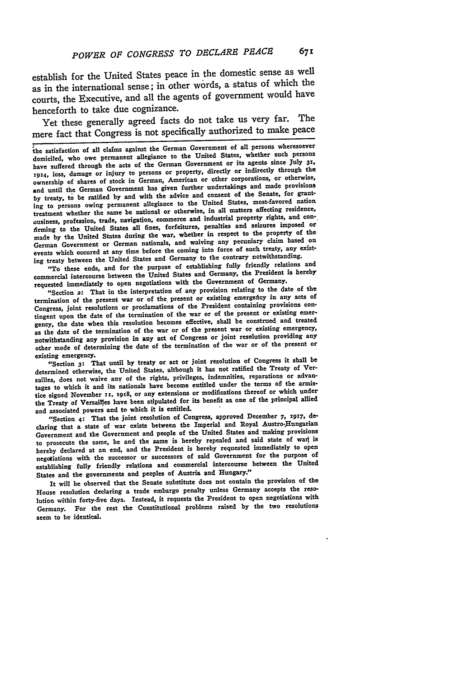establish for the United States peace in the domestic sense as well as in the international sense; in other words, a status of which the courts, the Executive, and all the agents of government would have henceforth to take due cognizance.

Yet these generally agreed facts do not take us very far. The mere fact that Congress is not specifically authorized to make peace

the satisfaction of all claims against the German Government of all persons wheresoever domiciled, who owe permanent allegiance to the United States, whether such persons have suffered through the acts of the German Government or its agents since July *31,* 1914, loss, damage or injury to persons or property, directly or indirectly through the ownership of shares **of** stock in German, American or other corporations, or otherwise, and until the German Government has given further undertakings and made provisions **by** treaty, **to** be ratified **by** and with the advice and consent of the Senate, for granting to persons owing permanent allegiance to the United States, most-favored nation treatment whether the same be national or otherwise, in **all** matters affecting residence, ousiness, profession, trade, navigation, commerce and industrial property rights, and conirming to the United States all fines, forfeitures, penalties and seizures imposed or made **by** the United States during the war, whether in respect to the property of the German Government or German nationals, and waiving any pecuniary claim based on events which occured at any time before the coming into force of such treaty, any existing treaty between the United States and Germany to the contrary notwithstanding.

"To these ends, and for the purpose **of** establishing fully friendly relations and commercial intercourse between the United States and Germany, the President is hereby requested immediately to open negotiations with the Government of Germany.

"Section 2: That in the interpretation of any provision relating to the date of the termination of the present war or of the present or existing emergebcy in any acts of Congress, joint resolutions or proclamations of the President containing provisions contingent upon the date of the termination of the war or of the present or existing emergency, the date when this resolution becomes effective, shall **be** construed and treated as the date of the termination of the war or of the present war or existing emergency, notwithstanding any provision in any act of Congress or joint resolution providing any other mode of determining the date of the termination of the war or of the present or existing emergency.

"Section **3:** That until **by** treaty or act or joint resolution of Congress it shall be determined otherwise, the United States, although it has not ratified the Treaty of Versailles, does not waive any of the rights, privileges, indemnities, reparations or advantages to which it and its nationals have become entitled under the terms of the armistice signed November **11. 1g8,** or any extensions or modifications thereof or which under the Treaty of Versailles have been stipulated for its benefit as one of the principal allied and associated powers and to which it is entitled.

"Section 4: That the joint resolution of Congress, approved December 7, 1917, declaring that a state of war exists between the Imperial and Royal Austro-Hungarian Government and the Government and people of the United States and making provisions to prosecute the same, be and the same is hereby repealed and said state of wai is hereby declared at an end, and the President is hereby requested immediately to open negotiations with the successor or successors of said Government for the purpose of establishing fully friendly relations and commercial intercourse between the United States and the governments and peoples of Austria and Hungary."

It will be observed that the Senate substitute does not contain the provision of the House resolution declaring a trade embargo penalty unless Germany accepts the resolution within forty-five days. Instead, it requests the President to open negotiations with Germany. For the rest the Constitutional problems raised **by** the two resolutions seem to be identical.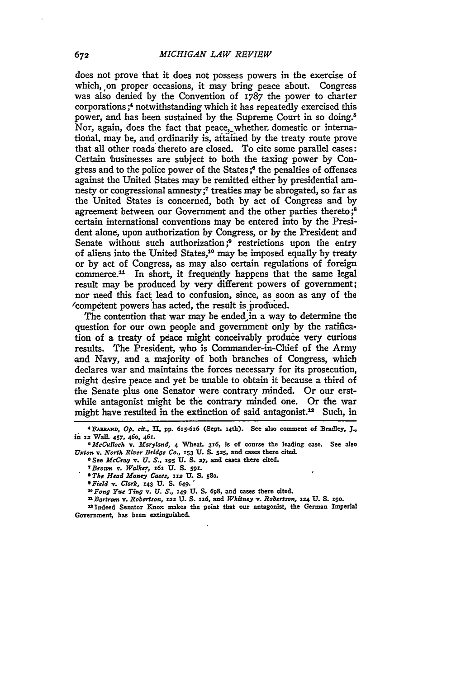does not prove that it does not possess powers in the exercise of which, on proper occasions, it may bring peace about. Congress was also denied by the Convention of 1787 the power to charter corporations;4 notwithstanding which it has repeatedly exercised this power, and has been sustained by the Supreme Court in so doing.<sup>5</sup> Nor, again, does the fact that peace, whether, domestic or international, may be, and ordinarily is, attained by the treaty route prove that **all** other roads thereto are closed. To cite some parallel cases: Certain businesses are subject to both the taxing power by Congress and to the police power of the States;<sup>6</sup> the penalties of offenses against the United States may be remitted either **by** presidential **am**nesty or congressional amnesty ;7 treaties may be abrogated, so far as the United States is concerned, both **by** act of Congress and **by** agreement between our Government and the other parties thereto **;'** certain international conventions may be entered into **by** the President alone, upon authorization **by** Congress, or **by** the President and Senate without such authorization;<sup>9</sup> restrictions upon the entry of aliens into the United States,"' may be imposed equally **by** treaty or **by** act of Congress, as may also certain regulations of foreign commerce.<sup>11</sup> In short, it frequently happens that the same legal result may be produced by very different powers of government; nor need this fact lead to confusion, since, as soon as any of the /competent powers has acted, the result is produced.

The contention that war may be ended in a way to determine the question for our own people and government only by the ratification of a treaty of peace might conceivably produce very curious results. The President, who is Commander-in-Chief of the Army and Navy, and a majority of both branches of Congress, which declares war and maintains the forces necessary for its prosecution, might desire peace and yet be unable to obtain it because a third of the Senate plus one Senator were contrary minded. Or our erstwhile antagonist might be the contrary minded one. Or the war might have resulted in the extinction of said antagonist.<sup>12</sup> Such, in

**<sup>s</sup>**See *McCray v. U. S., z95* **U. S.** *a7,* **and cases there cited.** *<sup>T</sup>*

- *\*The Head Money Cases,* **xx2 U. S. 58o.**
- *\*Field v. Clark,* **143 U. S. 649."**
- *1oFong Yue Ting v. U. S., 149* **U. S. 698, and cases there cited.**

*= Bartram v. Robertson, 122* **U.** *S. xx6, and Whitney v. Robertson, 124* **U. S.** *'9o.*

**"Indeed Senator Knox makes the point that our antagonist, the German Imperial Government, has been extinguished.**

**<sup>&#</sup>x27;4PAKRM,** *Op. cit.,* **II, pp. 6rs-6x6 (Sept. i4th). See also comment of Bradley,** *3.,* **n** *12* **Wall. 457, 460, 46.**

*<sup>5</sup>McCulloch v. Maryland,* 4 **Wheat. 316, is of course the leading case. See also** *Uxton v. North River Bridge Co., 153* **U. S. 5:2, and cases there cited.**

*Brown v. Walker, dxs* **U. S.** *s9x.*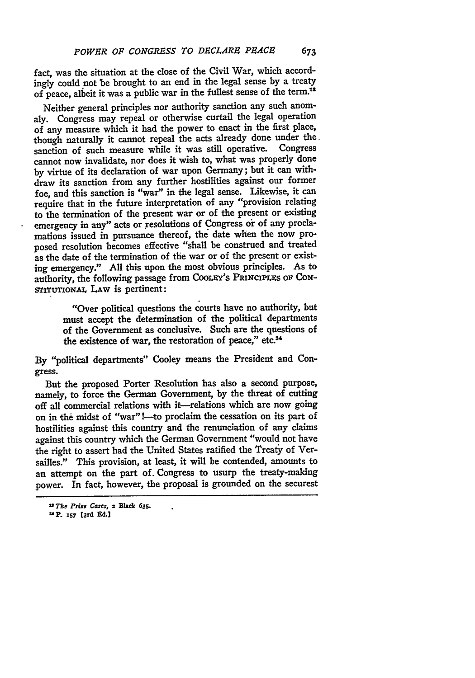fact, was the situation at the dose of the Civil War, which accordingly could not be brought to an end in the legal sense by a treaty of peace, albeit it was a public war in the fullest sense of the term."3

Neither general principles nor authority sanction any such anomaly. Congress may repeal or otherwise curtail the legal operation of any measure which it had the power to enact in the first place, though naturally it cannot repeal the acts already done under the. sanction of such measure while it was still operative. Congress cannot now invalidate, nor does it wish to, what was properly done by virtue of its declaration of war upon Germany; but it can withdraw its sanction from any further hostilities against our former foe, and this sanction is "war" in the legal sense. Likewise, it can require that in the future interpretation of any "provision relating to the termination of the present war or of the present or existing emergency in any" acts or resolutions of Congress or of any proclamations issued in pursuance thereof, the date when the now proposed resolution becomes effective "shall be construed and treated as the date of the termination of the war or of the present or existing emergency." **All** this upon the most obvious principles. As to authority, the following passage from COOLEY's PRINCIPLES OF CON-**STITUTIoNAL** LAW is pertinent:

> "Over political questions the courts have no authority, but must accept the determination of the political departments of the Government as conclusive. Such are the questions of the existence of war, the restoration of peace," etc.<sup>14</sup>

**By** "political departments" Cooley means the President and Congress.

But the proposed Porter Resolution has also a second purpose, namely, to force the German Government, by the threat of cutting off all commercial relations with it-relations which are now going on in the midst of "war" !- to proclaim the cessation on its part of hostilities against this country and the renunciation of any claims against this country which the German Government "would not have the right to assert had the United States ratified the Treaty of Versailles." This provision, at least, it will be contended, amounts to an attempt on the part of. Congress to usurp the treaty-making power. In fact, however, the proposal is grounded on the securest

l.

<sup>&#</sup>x27;2 *The Prize Cases,* 2 **Black 63S.**

**mP. 157 lard Ed.]**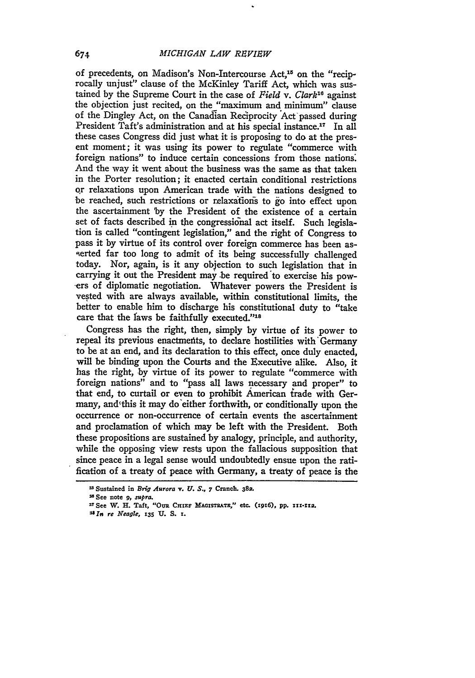of precedents, on Madison's Non-Intercourse Act,15 on the "reciprocally unjust" clause of the McKinley Tariff Act, which was sustained by the Supreme Court in the case of *Field v. Clark"* against the objection just recited, on the "maximum and minimum" clause of the Dingley Act, on the Canadian Reciprocity Act passed during President Taft's administration and at his special instance.<sup>17</sup> In all these cases Congress did just what it is proposing to **do** at the present moment; it was using its power to regulate "commerce with foreign nations" to induce certain concessions from those nations: And the way it went about the business was the same as that taken in the Porter resolution; it enacted certain conditional restrictions or relaxations upon American trade with the nations designed to be reached, such restrictions or relaxations to go into effect upon the ascertainment **by** the President of the existence of a certain set of facts described in the congressional act itself. Such legislation is called "contingent legislation," and the right of Congress to pass it by virtue of its control over foreign commerce has been as-9erted far too long to admit of its being successfully challenged today. Nor, again, is it any objection to such legislation that in carrying it out the President may be required to exercise his nowers of diplomatic negotiation. Whatever powers the President is vested with are always available, within constitutional limits, the better to enable him to discharge his constitutional duty to "take care that the laws be faithfully executed."18

Congress has the right, then, simply by virtue of its power to repeal its previous enactments, to declare hostilities with Germany to be at an end, and its declaration to this effect, once duly enacted, will be binding upon the Courts and the Executive alike. Also, it has the right, by virtue of its power to regulate "commerce with foreign nations" and to "pass all laws necessary and proper" to that end, to curtail or even to prohibit American trade with Germany, and this it may do either forthwith, or conditionally upon the occurrence or non-occurrence of certain events the ascertainment and proclamation of which may be left with the President. Both these propositions are sustained by analogy, principle, and authority, while the opposing view rests upon the fallacious supposition that since peace in a legal sense would undoubtedly ensue upon the ratification of a treaty of peace with Germany, a treaty of peace is the

**Sustained in** *Brig Aurora v. U. S.,* **7 Cranch. 382.**

**<sup>18</sup> See note 9,** *supra.*

**IT See W. H. Taft, "OuR CHiEr MAGiSTRATE," etc. (19z6), pp. xxx-zz2.**

**Is** *re Neogle,* **x35 U. S. r.**